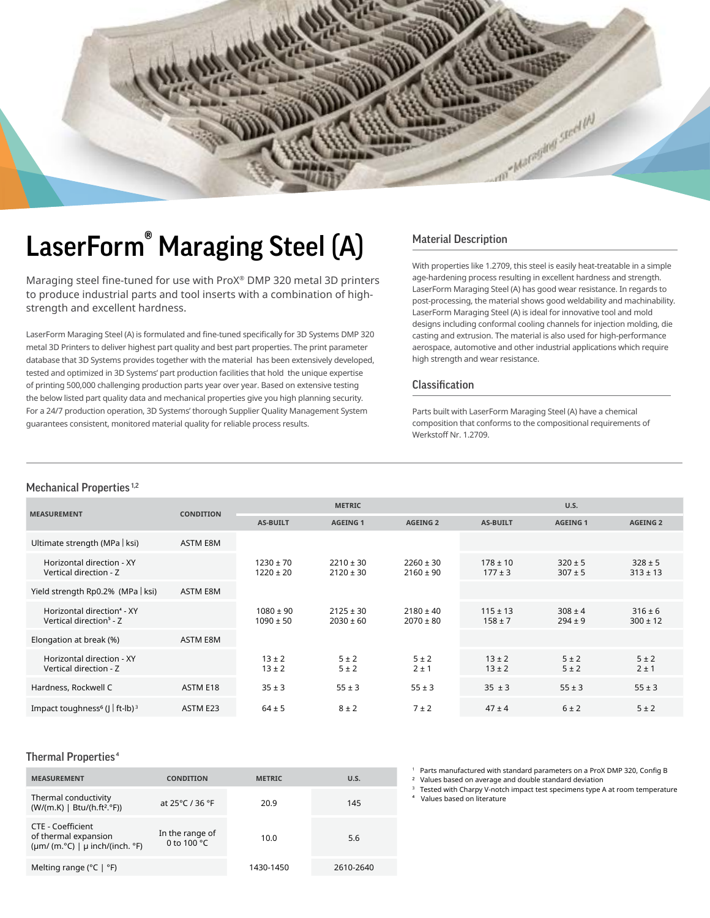

## LaserForm<sup>®</sup> Maraging Steel (A) Material Description

Maraging steel fine-tuned for use with ProX® DMP 320 metal 3D printers to produce industrial parts and tool inserts with a combination of highstrength and excellent hardness.

LaserForm Maraging Steel (A) is formulated and fine-tuned specifically for 3D Systems DMP 320 metal 3D Printers to deliver highest part quality and best part properties. The print parameter database that 3D Systems provides together with the material has been extensively developed, tested and optimized in 3D Systems' part production facilities that hold the unique expertise of printing 500,000 challenging production parts year over year. Based on extensive testing the below listed part quality data and mechanical properties give you high planning security. For a 24/7 production operation, 3D Systems' thorough Supplier Quality Management System guarantees consistent, monitored material quality for reliable process results.

With properties like 1.2709, this steel is easily heat-treatable in a simple age-hardening process resulting in excellent hardness and strength. LaserForm Maraging Steel (A) has good wear resistance. In regards to post-processing, the material shows good weldability and machinability. LaserForm Maraging Steel (A) is ideal for innovative tool and mold designs including conformal cooling channels for injection molding, die casting and extrusion. The material is also used for high-performance aerospace, automotive and other industrial applications which require high strength and wear resistance.

### Classification

Parts built with LaserForm Maraging Steel (A) have a chemical composition that conforms to the compositional requirements of Werkstoff Nr. 1.2709.

### Mechanical Properties<sup>1,2</sup>

|                                                                               |                  | <b>METRIC</b>                  |                                |                                | U.S.                        |                            |                             |
|-------------------------------------------------------------------------------|------------------|--------------------------------|--------------------------------|--------------------------------|-----------------------------|----------------------------|-----------------------------|
| <b>MEASUREMENT</b>                                                            | <b>CONDITION</b> | <b>AS-BUILT</b>                | <b>AGEING 1</b>                | <b>AGEING 2</b>                | <b>AS-BUILT</b>             | <b>AGEING 1</b>            | <b>AGEING 2</b>             |
| Ultimate strength (MPa   ksi)                                                 | ASTM E8M         |                                |                                |                                |                             |                            |                             |
| Horizontal direction - XY<br>Vertical direction - Z                           |                  | $1230 \pm 70$<br>$1220 \pm 20$ | $2210 \pm 30$<br>$2120 \pm 30$ | $2260 \pm 30$<br>$2160 \pm 90$ | $178 \pm 10$<br>$177 \pm 3$ | $320 \pm 5$<br>$307 \pm 5$ | $328 \pm 5$<br>$313 \pm 13$ |
| Yield strength Rp0.2% (MPa   ksi)                                             | ASTM E8M         |                                |                                |                                |                             |                            |                             |
| Horizontal direction <sup>4</sup> - XY<br>Vertical direction <sup>5</sup> - Z |                  | $1080 \pm 90$<br>$1090 \pm 50$ | $2125 \pm 30$<br>$2030 \pm 60$ | $2180 \pm 40$<br>$2070 \pm 80$ | $115 \pm 13$<br>$158 \pm 7$ | $308 \pm 4$<br>$294 \pm 9$ | $316 \pm 6$<br>$300 \pm 12$ |
| Elongation at break (%)                                                       | ASTM E8M         |                                |                                |                                |                             |                            |                             |
| Horizontal direction - XY<br>Vertical direction - Z                           |                  | $13 \pm 2$<br>$13 \pm 2$       | $5 \pm 2$<br>5±2               | $5 \pm 2$<br>$2 \pm 1$         | $13 \pm 2$<br>$13 \pm 2$    | $5 \pm 2$<br>5±2           | $5 \pm 2$<br>$2 \pm 1$      |
| Hardness, Rockwell C                                                          | ASTM E18         | $35 \pm 3$                     | $55 \pm 3$                     | $55 \pm 3$                     | $35 \pm 3$                  | $55 \pm 3$                 | $55 \pm 3$                  |
| Impact toughness <sup>6</sup> ( $\vert \vert$ ft-lb) <sup>3</sup>             | ASTM E23         | $64 \pm 5$                     | $8 \pm 2$                      | 7±2                            | $47 \pm 4$                  | $6 \pm 2$                  | 5±2                         |

### Thermal Properties<sup>4</sup>

| <b>MEASUREMENT</b>                                                                                      | <b>CONDITION</b>                        | <b>METRIC</b> | U.S.      |
|---------------------------------------------------------------------------------------------------------|-----------------------------------------|---------------|-----------|
| Thermal conductivity<br>(W/(m.K)   Btu/(h.ft <sup>2</sup> .°F))                                         | at 25 $^{\circ}$ C / 36 $^{\circ}$ F    | 20.9          | 145       |
| CTE - Coefficient<br>of thermal expansion<br>$(\mu m / (m.^{\circ}C) \mid \mu$ inch/(inch. $^{\circ}F)$ | In the range of<br>0 to 100 $\degree$ C | 10.0          | 5.6       |
| Melting range ( $^{\circ}$ C   $^{\circ}$ F)                                                            |                                         | 1430-1450     | 2610-2640 |

<sup>1</sup> Parts manufactured with standard parameters on a ProX DMP 320, Config B<br><sup>2</sup> Values based on average and double standard deviation Values based on average and double standard deviation

Tested with Charpy V-notch impact test specimens type A at room temperature

Values based on literature